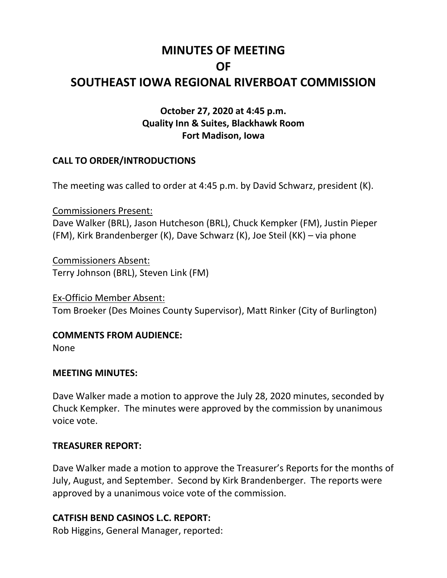# **MINUTES OF MEETING OF SOUTHEAST IOWA REGIONAL RIVERBOAT COMMISSION**

## **October 27, 2020 at 4:45 p.m. Quality Inn & Suites, Blackhawk Room Fort Madison, Iowa**

### **CALL TO ORDER/INTRODUCTIONS**

The meeting was called to order at 4:45 p.m. by David Schwarz, president (K).

Commissioners Present: Dave Walker (BRL), Jason Hutcheson (BRL), Chuck Kempker (FM), Justin Pieper (FM), Kirk Brandenberger (K), Dave Schwarz (K), Joe Steil (KK) – via phone

Commissioners Absent: Terry Johnson (BRL), Steven Link (FM)

Ex-Officio Member Absent: Tom Broeker (Des Moines County Supervisor), Matt Rinker (City of Burlington)

**COMMENTS FROM AUDIENCE:**

None

#### **MEETING MINUTES:**

Dave Walker made a motion to approve the July 28, 2020 minutes, seconded by Chuck Kempker. The minutes were approved by the commission by unanimous voice vote.

#### **TREASURER REPORT:**

Dave Walker made a motion to approve the Treasurer's Reports for the months of July, August, and September. Second by Kirk Brandenberger. The reports were approved by a unanimous voice vote of the commission.

#### **CATFISH BEND CASINOS L.C. REPORT:**

Rob Higgins, General Manager, reported: